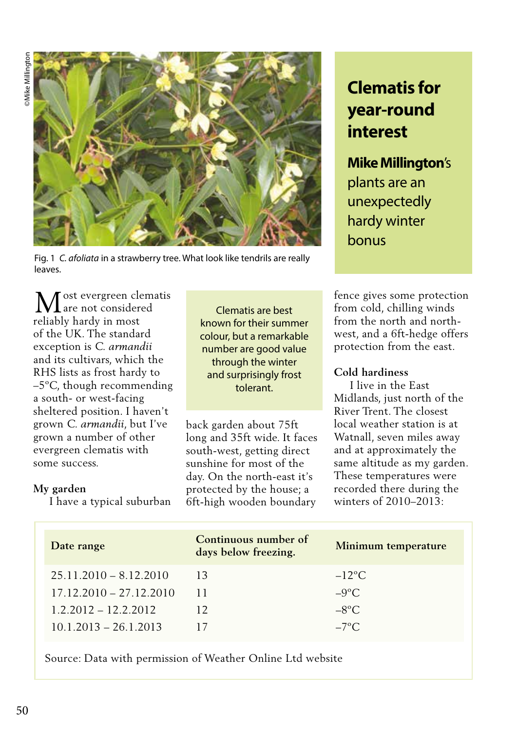

Fig. 1 *C. afoliata* in a strawberry tree. What look like tendrils are really leaves.

ost evergreen clematis are not considered **M** are not consider<br>reliably hardy in most of the UK. The standard exception is *C. armandii* and its cultivars, which the RHS lists as frost hardy to –5ºC, though recommending a south- or west-facing sheltered position. I haven't grown *C. armandii*, but I've grown a number of other evergreen clematis with some success.

I have a typical suburban

**My garden**

Clematis are best known for their summer colour, but a remarkable number are good value through the winter and surprisingly frost tolerant.

back garden about 75ft long and 35ft wide. It faces south-west, getting direct sunshine for most of the day. On the north-east it's protected by the house; a 6ft-high wooden boundary

# **Clematis for year-round interest**

**Mike Millington**'s plants are an unexpectedly hardy winter bonus

fence gives some protection from cold, chilling winds from the north and northwest, and a 6ft-hedge offers protection from the east.

## **Cold hardiness**

 I live in the East Midlands, just north of the River Trent. The closest local weather station is at Watnall, seven miles away and at approximately the same altitude as my garden. These temperatures were recorded there during the winters of 2010–2013:

| Date range                | Continuous number of<br>days below freezing. | Minimum temperature |
|---------------------------|----------------------------------------------|---------------------|
| $25.11.2010 - 8.12.2010$  | 13                                           | $-12$ °C            |
| $17.12.2010 - 27.12.2010$ | 11                                           | $-9^{\circ}C$       |
| $1.2.2012 - 12.2.2012$    | 12                                           | $-8$ °C             |
| $10.1.2013 - 26.1.2013$   |                                              | $-7^{\circ}$ C      |

Source: Data with permission of Weather Online Ltd website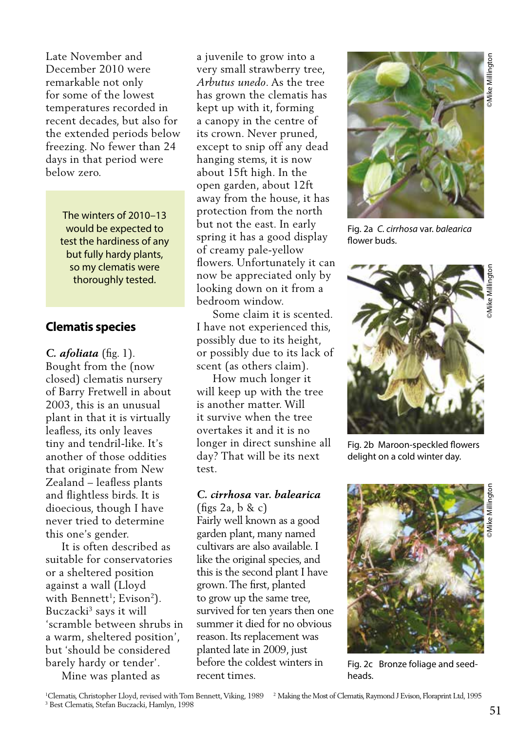Late November and December 2010 were remarkable not only for some of the lowest temperatures recorded in recent decades, but also for the extended periods below freezing. No fewer than 24 days in that period were below zero.

> The winters of 2010–13 would be expected to test the hardiness of any but fully hardy plants, so my clematis were thoroughly tested.

### **Clematis species**

*C. afoliata* (fig. 1). Bought from the (now closed) clematis nursery of Barry Fretwell in about 2003, this is an unusual plant in that it is virtually leafless, its only leaves tiny and tendril-like. It's another of those oddities that originate from New Zealand – leafless plants and flightless birds. It is dioecious, though I have never tried to determine this one's gender.

 It is often described as suitable for conservatories or a sheltered position against a wall (Lloyd with Bennett<sup>1</sup>; Evison<sup>2</sup>). Buczacki3 says it will 'scramble between shrubs in a warm, sheltered position', but 'should be considered barely hardy or tender'. Mine was planted as

a juvenile to grow into a very small strawberry tree, *Arbutus unedo*. As the tree has grown the clematis has kept up with it, forming a canopy in the centre of its crown. Never pruned, except to snip off any dead hanging stems, it is now about 15ft high. In the open garden, about 12ft away from the house, it has protection from the north but not the east. In early spring it has a good display of creamy pale-yellow flowers. Unfortunately it can now be appreciated only by looking down on it from a bedroom window.

 Some claim it is scented. I have not experienced this, possibly due to its height, or possibly due to its lack of scent (as others claim).

 How much longer it will keep up with the tree is another matter. Will it survive when the tree overtakes it and it is no longer in direct sunshine all day? That will be its next test.

# *C. cirrhosa* **var.** *balearica*

(figs 2a, b & c) Fairly well known as a good garden plant, many named cultivars are also available. I like the original species, and this is the second plant I have grown. The first, planted to grow up the same tree, survived for ten years then one summer it died for no obvious reason. Its replacement was planted late in 2009, just before the coldest winters in recent times.



Fig. 2a *C. cirrhosa* var. *balearica* flower buds.



Fig. 2b Maroon-speckled flowers delight on a cold winter day.



Fig. 2c Bronze foliage and seedheads.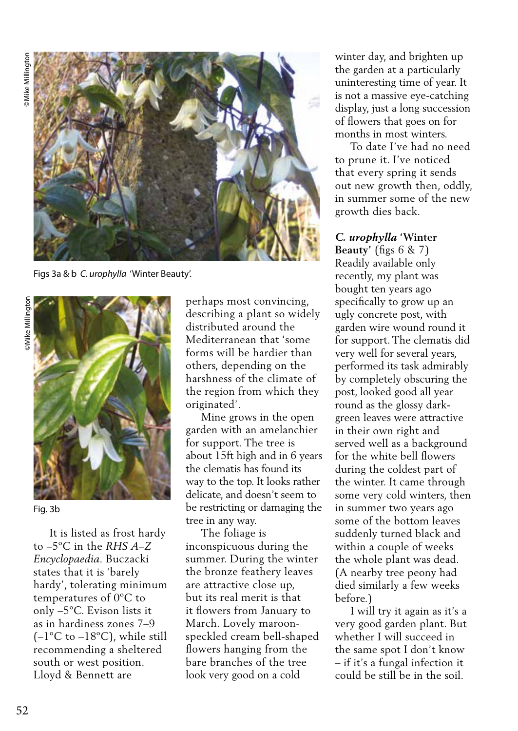

Figs 3a & b *C. urophylla* 'Winter Beauty'.



Fig. 3b

 It is listed as frost hardy to –5ºC in the *RHS A–Z Encyclopaedia.* Buczacki states that it is 'barely hardy', tolerating minimum temperatures of 0ºC to only –5ºC. Evison lists it as in hardiness zones 7–9  $(-1^{\circ}C$  to  $-18^{\circ}C)$ , while still recommending a sheltered south or west position. Lloyd & Bennett are

perhaps most convincing, describing a plant so widely distributed around the Mediterranean that 'some forms will be hardier than others, depending on the harshness of the climate of the region from which they originated'.

 Mine grows in the open garden with an amelanchier for support. The tree is about 15ft high and in 6 years the clematis has found its way to the top. It looks rather delicate, and doesn't seem to be restricting or damaging the tree in any way.

 The foliage is inconspicuous during the summer. During the winter the bronze feathery leaves are attractive close up, but its real merit is that it flowers from January to March. Lovely maroonspeckled cream bell-shaped flowers hanging from the bare branches of the tree look very good on a cold

winter day, and brighten up the garden at a particularly uninteresting time of year. It is not a massive eye-catching display, just a long succession of flowers that goes on for months in most winters.

 To date I've had no need to prune it. I've noticed that every spring it sends out new growth then, oddly, in summer some of the new growth dies back.

#### *C. urophylla* **'Winter**

**Beauty'** (figs 6 & 7) Readily available only recently, my plant was bought ten years ago specifically to grow up an ugly concrete post, with garden wire wound round it for support. The clematis did very well for several years, performed its task admirably by completely obscuring the post, looked good all year round as the glossy darkgreen leaves were attractive in their own right and served well as a background for the white bell flowers during the coldest part of the winter. It came through some very cold winters, then in summer two years ago some of the bottom leaves suddenly turned black and within a couple of weeks the whole plant was dead. (A nearby tree peony had died similarly a few weeks before.)

 I will try it again as it's a very good garden plant. But whether I will succeed in the same spot I don't know – if it's a fungal infection it could be still be in the soil.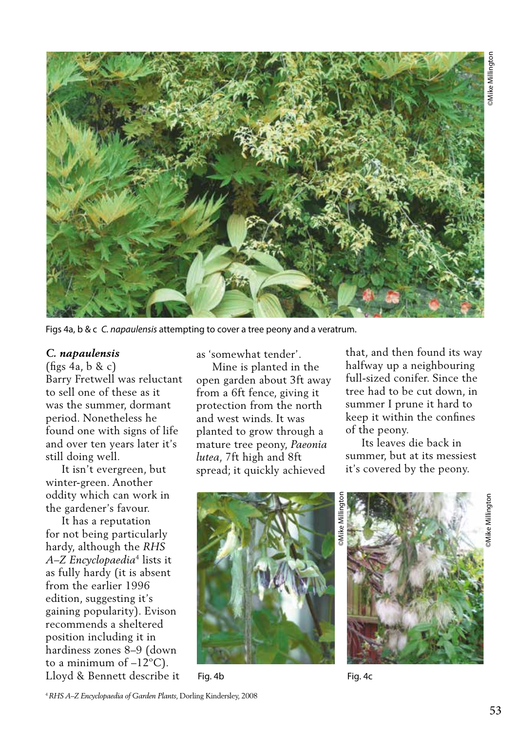

Figs 4a, b & c *C. napaulensis* attempting to cover a tree peony and a veratrum.

#### *C. napaulensis*

(figs 4a, b & c) Barry Fretwell was reluctant to sell one of these as it was the summer, dormant period. Nonetheless he found one with signs of life and over ten years later it's still doing well.

 It isn't evergreen, but winter-green. Another oddity which can work in the gardener's favour.

 It has a reputation for not being particularly hardy, although the *RHS A–Z Encyclopaedia*4 lists it as fully hardy (it is absent from the earlier 1996 edition, suggesting it's gaining popularity). Evison recommends a sheltered position including it in hardiness zones 8–9 (down to a minimum of  $-12^{\circ}$ C). Lloyd & Bennett describe it as 'somewhat tender'.

 Mine is planted in the open garden about 3ft away from a 6ft fence, giving it protection from the north and west winds. It was planted to grow through a mature tree peony, *Paeonia lutea*, 7ft high and 8ft spread; it quickly achieved

that, and then found its way halfway up a neighbouring full-sized conifer. Since the tree had to be cut down, in summer I prune it hard to keep it within the confines of the peony.

 Its leaves die back in summer, but at its messiest it's covered by the peony.



Fig. 4b Fig. 4c



©Mike Millington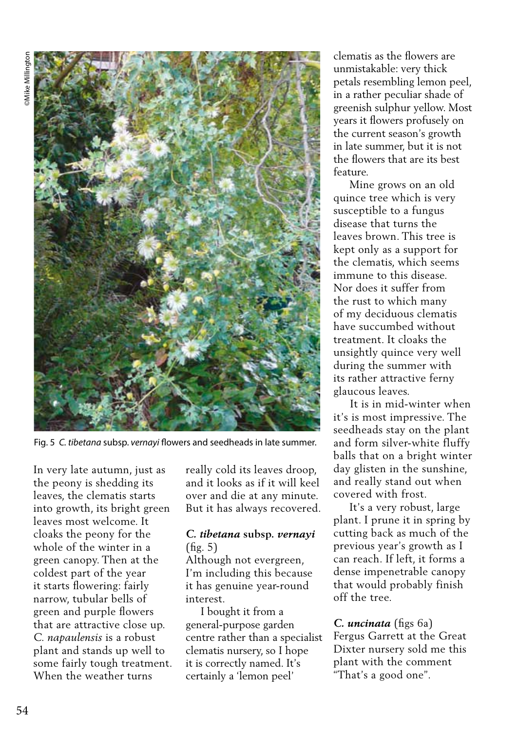

Fig. 5 *C. tibetana* subsp. *vernayi* flowers and seedheads in late summer.

In very late autumn, just as the peony is shedding its leaves, the clematis starts into growth, its bright green leaves most welcome. It cloaks the peony for the whole of the winter in a green canopy. Then at the coldest part of the year it starts flowering: fairly narrow, tubular bells of green and purple flowers that are attractive close up. *C. napaulensis* is a robust plant and stands up well to some fairly tough treatment. When the weather turns

really cold its leaves droop, and it looks as if it will keel over and die at any minute. But it has always recovered.

#### *C. tibetana* **subsp.** *vernayi*  (fig. 5)

Although not evergreen, I'm including this because it has genuine year-round interest.

 I bought it from a general-purpose garden centre rather than a specialist clematis nursery, so I hope it is correctly named. It's certainly a 'lemon peel'

clematis as the flowers are unmistakable: very thick petals resembling lemon peel, in a rather peculiar shade of greenish sulphur yellow. Most years it flowers profusely on the current season's growth in late summer, but it is not the flowers that are its best feature.

 Mine grows on an old quince tree which is very susceptible to a fungus disease that turns the leaves brown. This tree is kept only as a support for the clematis, which seems immune to this disease. Nor does it suffer from the rust to which many of my deciduous clematis have succumbed without treatment. It cloaks the unsightly quince very well during the summer with its rather attractive ferny glaucous leaves.

 It is in mid-winter when it's is most impressive. The seedheads stay on the plant and form silver-white fluffy balls that on a bright winter day glisten in the sunshine, and really stand out when covered with frost.

 It's a very robust, large plant. I prune it in spring by cutting back as much of the previous year's growth as I can reach. If left, it forms a dense impenetrable canopy that would probably finish off the tree.

#### *C. uncinata* (figs 6a)

Fergus Garrett at the Great Dixter nursery sold me this plant with the comment "That's a good one".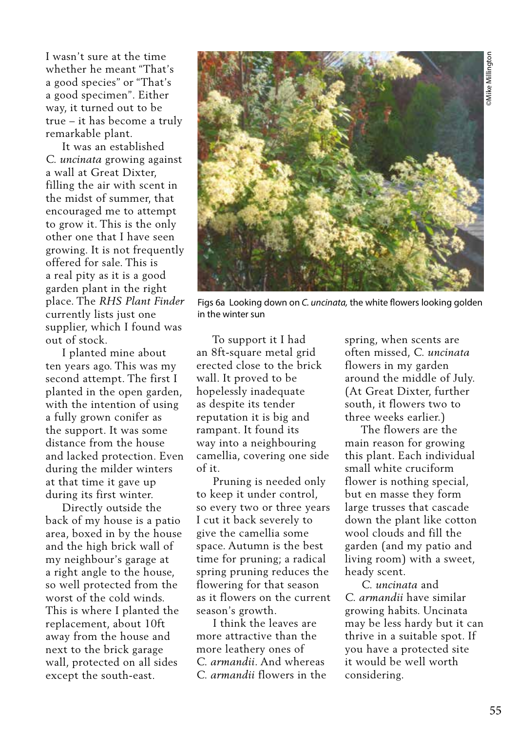I wasn't sure at the time whether he meant "That's a good species" or "That's a good specimen". Either way, it turned out to be true – it has become a truly remarkable plant.

 It was an established *C. uncinata* growing against a wall at Great Dixter, filling the air with scent in the midst of summer, that encouraged me to attempt to grow it. This is the only other one that I have seen growing. It is not frequently offered for sale. This is a real pity as it is a good garden plant in the right place. The *RHS Plant Finder* currently lists just one supplier, which I found was out of stock.

 I planted mine about ten years ago. This was my second attempt. The first I planted in the open garden, with the intention of using a fully grown conifer as the support. It was some distance from the house and lacked protection. Even during the milder winters at that time it gave up during its first winter.

 Directly outside the back of my house is a patio area, boxed in by the house and the high brick wall of my neighbour's garage at a right angle to the house, so well protected from the worst of the cold winds. This is where I planted the replacement, about 10ft away from the house and next to the brick garage wall, protected on all sides except the south-east.



Figs 6a Looking down on *C. uncinata,* the white flowers looking golden in the winter sun

 To support it I had an 8ft-square metal grid erected close to the brick wall. It proved to be hopelessly inadequate as despite its tender reputation it is big and rampant. It found its way into a neighbouring camellia, covering one side of it.

 Pruning is needed only to keep it under control, so every two or three years I cut it back severely to give the camellia some space. Autumn is the best time for pruning; a radical spring pruning reduces the flowering for that season as it flowers on the current season's growth.

 I think the leaves are more attractive than the more leathery ones of *C. armandii*. And whereas *C. armandii* flowers in the spring, when scents are often missed, *C. uncinata* flowers in my garden around the middle of July. (At Great Dixter, further south, it flowers two to three weeks earlier.)

 The flowers are the main reason for growing this plant. Each individual small white cruciform flower is nothing special, but en masse they form large trusses that cascade down the plant like cotton wool clouds and fill the garden (and my patio and living room) with a sweet, heady scent.

 *C. uncinata* and *C. armandii* have similar growing habits. Uncinata may be less hardy but it can thrive in a suitable spot. If you have a protected site it would be well worth considering.